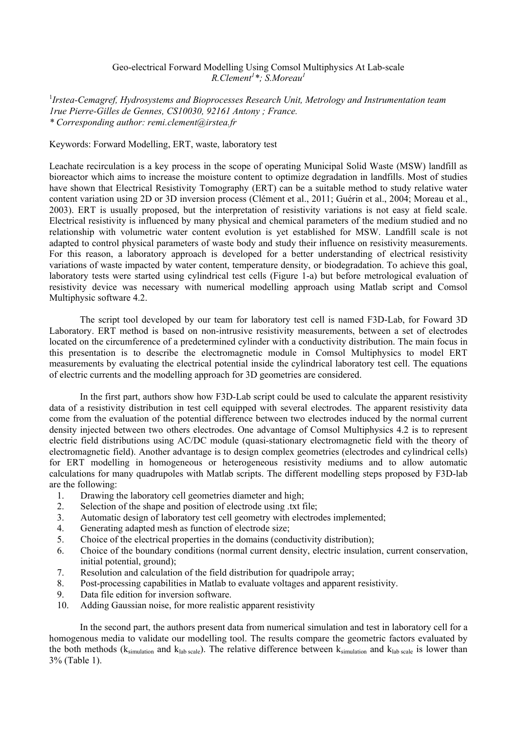## Geo-electrical Forward Modelling Using Comsol Multiphysics At Lab-scale *R.Clement<sup>1</sup> \*; S.Moreau<sup>1</sup>*

<sup>1</sup>Irstea-Cemagref, Hydrosystems and Bioprocesses Research Unit, Metrology and Instrumentation team *1rue Pierre-Gilles de Gennes, CS10030, 92161 Antony ; France. \* Corresponding author: remi.clement@irstea.fr* 

## Keywords: Forward Modelling, ERT, waste, laboratory test

Leachate recirculation is a key process in the scope of operating Municipal Solid Waste (MSW) landfill as bioreactor which aims to increase the moisture content to optimize degradation in landfills. Most of studies have shown that Electrical Resistivity Tomography (ERT) can be a suitable method to study relative water content variation using 2D or 3D inversion process (Clément et al., 2011; Guérin et al., 2004; Moreau et al., 2003). ERT is usually proposed, but the interpretation of resistivity variations is not easy at field scale. Electrical resistivity is influenced by many physical and chemical parameters of the medium studied and no relationship with volumetric water content evolution is yet established for MSW. Landfill scale is not adapted to control physical parameters of waste body and study their influence on resistivity measurements. For this reason, a laboratory approach is developed for a better understanding of electrical resistivity variations of waste impacted by water content, temperature density, or biodegradation. To achieve this goal, laboratory tests were started using cylindrical test cells (Figure 1-a) but before metrological evaluation of resistivity device was necessary with numerical modelling approach using Matlab script and Comsol Multiphysic software 4.2.

The script tool developed by our team for laboratory test cell is named F3D-Lab, for Foward 3D Laboratory. ERT method is based on non-intrusive resistivity measurements, between a set of electrodes located on the circumference of a predetermined cylinder with a conductivity distribution. The main focus in this presentation is to describe the electromagnetic module in Comsol Multiphysics to model ERT measurements by evaluating the electrical potential inside the cylindrical laboratory test cell. The equations of electric currents and the modelling approach for 3D geometries are considered.

 In the first part, authors show how F3D-Lab script could be used to calculate the apparent resistivity data of a resistivity distribution in test cell equipped with several electrodes. The apparent resistivity data come from the evaluation of the potential difference between two electrodes induced by the normal current density injected between two others electrodes. One advantage of Comsol Multiphysics 4.2 is to represent electric field distributions using AC/DC module (quasi-stationary electromagnetic field with the theory of electromagnetic field). Another advantage is to design complex geometries (electrodes and cylindrical cells) for ERT modelling in homogeneous or heterogeneous resistivity mediums and to allow automatic calculations for many quadrupoles with Matlab scripts. The different modelling steps proposed by F3D-lab are the following:

- 1. Drawing the laboratory cell geometries diameter and high;
- 2. Selection of the shape and position of electrode using .txt file;
- 3. Automatic design of laboratory test cell geometry with electrodes implemented;
- 4. Generating adapted mesh as function of electrode size;
- 5. Choice of the electrical properties in the domains (conductivity distribution);
- 6. Choice of the boundary conditions (normal current density, electric insulation, current conservation, initial potential, ground);
- 7. Resolution and calculation of the field distribution for quadripole array;
- 8. Post-processing capabilities in Matlab to evaluate voltages and apparent resistivity.
- 9. Data file edition for inversion software.
- 10. Adding Gaussian noise, for more realistic apparent resistivity

In the second part, the authors present data from numerical simulation and test in laboratory cell for a homogenous media to validate our modelling tool. The results compare the geometric factors evaluated by the both methods ( $k_{simulation}$  and  $k_{lab scale}$ ). The relative difference between  $k_{simulation}$  and  $k_{lab scale}$  is lower than 3% (Table 1).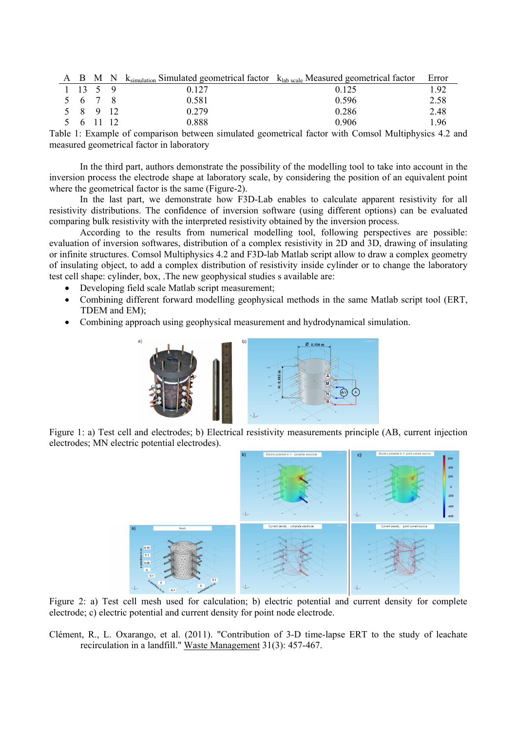|                  |  | A B M N $k_{\text{simulation}}$ Simulated geometrical factor $k_{\text{lab scale}}$ Measured geometrical factor |       | Error |
|------------------|--|-----------------------------------------------------------------------------------------------------------------|-------|-------|
| $1 \t13 \t5 \t9$ |  | 0.127                                                                                                           | 0.125 | 192   |
| 5 6 7 8          |  | 0.581                                                                                                           | 0.596 | 2.58  |
| 5 8 9 12         |  | 0.279                                                                                                           | 0.286 | 2.48  |
| 5 6 11 12        |  | 0.888                                                                                                           | 0.906 | 196   |
|                  |  |                                                                                                                 |       |       |

Table 1: Example of comparison between simulated geometrical factor with Comsol Multiphysics 4.2 and measured geometrical factor in laboratory

In the third part, authors demonstrate the possibility of the modelling tool to take into account in the inversion process the electrode shape at laboratory scale, by considering the position of an equivalent point where the geometrical factor is the same (Figure-2).

In the last part, we demonstrate how F3D-Lab enables to calculate apparent resistivity for all resistivity distributions. The confidence of inversion software (using different options) can be evaluated comparing bulk resistivity with the interpreted resistivity obtained by the inversion process.

According to the results from numerical modelling tool, following perspectives are possible: evaluation of inversion softwares, distribution of a complex resistivity in 2D and 3D, drawing of insulating or infinite structures. Comsol Multiphysics 4.2 and F3D-lab Matlab script allow to draw a complex geometry of insulating object, to add a complex distribution of resistivity inside cylinder or to change the laboratory test cell shape: cylinder, box, .The new geophysical studies s available are:

- · Developing field scale Matlab script measurement;
- · Combining different forward modelling geophysical methods in the same Matlab script tool (ERT, TDEM and EM);
- · Combining approach using geophysical measurement and hydrodynamical simulation.



Figure 1: a) Test cell and electrodes; b) Electrical resistivity measurements principle (AB, current injection electrodes; MN electric potential electrodes).



Figure 2: a) Test cell mesh used for calculation; b) electric potential and current density for complete electrode; c) electric potential and current density for point node electrode.

Clément, R., L. Oxarango, et al. (2011). "Contribution of 3-D time-lapse ERT to the study of leachate recirculation in a landfill." Waste Management 31(3): 457-467.